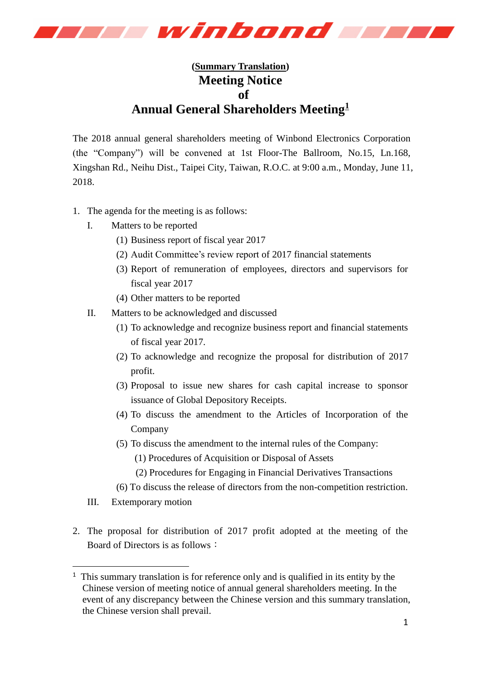

## **(Summary Translation) Meeting Notice of Annual General Shareholders Meeting<sup>1</sup>**

The 2018 annual general shareholders meeting of Winbond Electronics Corporation (the "Company") will be convened at 1st Floor-The Ballroom, No.15, Ln.168, Xingshan Rd., Neihu Dist., Taipei City, Taiwan, R.O.C. at 9:00 a.m., Monday, June 11, 2018.

- 1. The agenda for the meeting is as follows:
	- I. Matters to be reported
		- (1) Business report of fiscal year 2017
		- (2) Audit Committee's review report of 2017 financial statements
		- (3) Report of remuneration of employees, directors and supervisors for fiscal year 2017
		- (4) Other matters to be reported
	- II. Matters to be acknowledged and discussed
		- (1) To acknowledge and recognize business report and financial statements of fiscal year 2017.
		- (2) To acknowledge and recognize the proposal for distribution of 2017 profit.
		- (3) Proposal to issue new shares for cash capital increase to sponsor issuance of Global Depository Receipts.
		- (4) To discuss the amendment to the Articles of Incorporation of the Company
		- (5) To discuss the amendment to the internal rules of the Company:
			- (1) Procedures of Acquisition or Disposal of Assets
			- (2) Procedures for Engaging in Financial Derivatives Transactions
		- (6) To discuss the release of directors from the non-competition restriction.
	- III. Extemporary motion

-

2. The proposal for distribution of 2017 profit adopted at the meeting of the Board of Directors is as follows:

<sup>&</sup>lt;sup>1</sup> This summary translation is for reference only and is qualified in its entity by the Chinese version of meeting notice of annual general shareholders meeting. In the event of any discrepancy between the Chinese version and this summary translation, the Chinese version shall prevail.